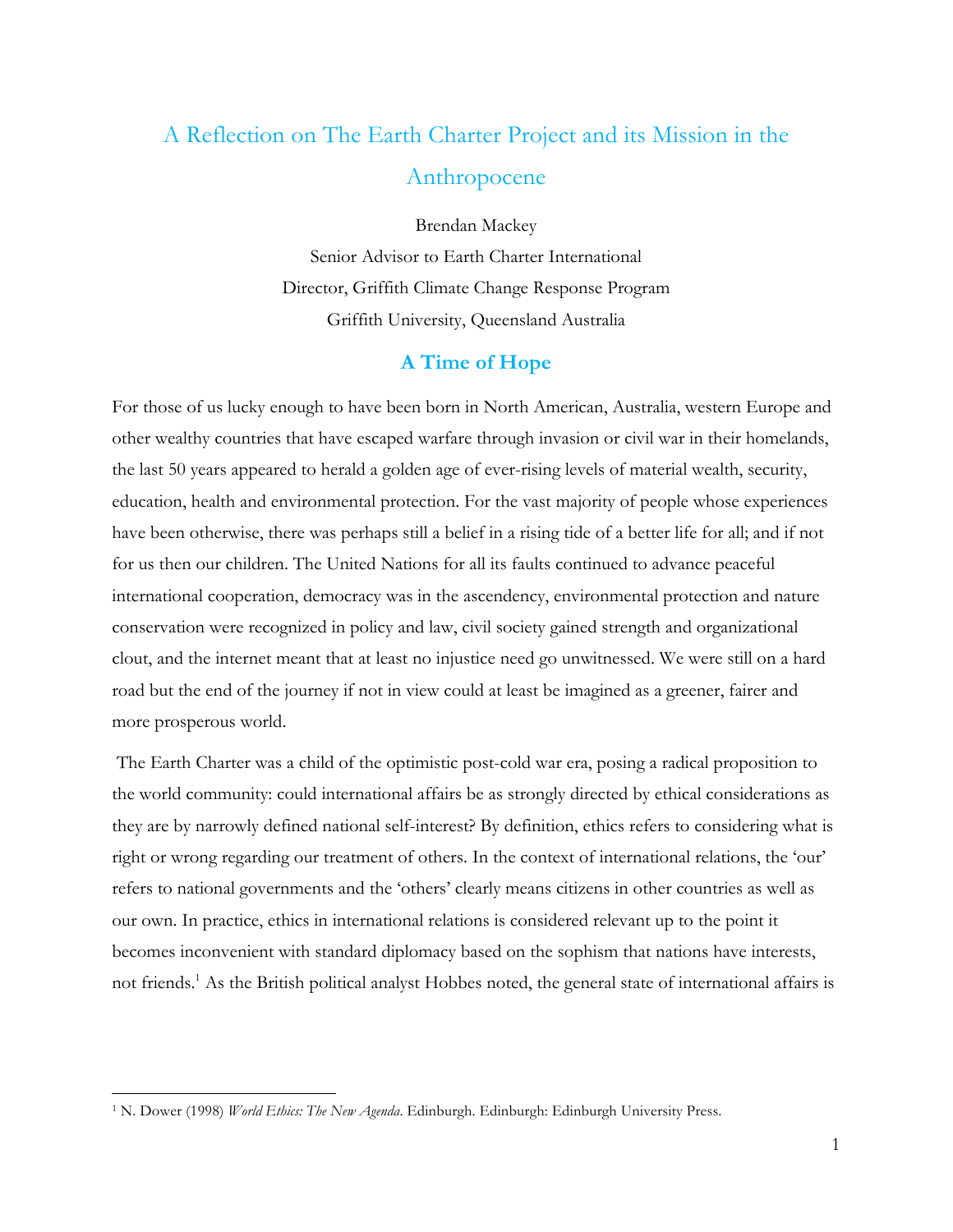# A Reflection on The Earth Charter Project and its Mission in the Anthropocene

Brendan Mackey

Senior Advisor to Earth Charter International Director, Griffith Climate Change Response Program Griffith University, Queensland Australia

### **A Time of Hope**

For those of us lucky enough to have been born in North American, Australia, western Europe and other wealthy countries that have escaped warfare through invasion or civil war in their homelands, the last 50 years appeared to herald a golden age of ever-rising levels of material wealth, security, education, health and environmental protection. For the vast majority of people whose experiences have been otherwise, there was perhaps still a belief in a rising tide of a better life for all; and if not for us then our children. The United Nations for all its faults continued to advance peaceful international cooperation, democracy was in the ascendency, environmental protection and nature conservation were recognized in policy and law, civil society gained strength and organizational clout, and the internet meant that at least no injustice need go unwitnessed. We were still on a hard road but the end of the journey if not in view could at least be imagined as a greener, fairer and more prosperous world.

The Earth Charter was a child of the optimistic post-cold war era, posing a radical proposition to the world community: could international affairs be as strongly directed by ethical considerations as they are by narrowly defined national self-interest? By definition, ethics refers to considering what is right or wrong regarding our treatment of others. In the context of international relations, the 'our' refers to national governments and the 'others' clearly means citizens in other countries as well as our own. In practice, ethics in international relations is considered relevant up to the point it becomes inconvenient with standard diplomacy based on the sophism that nations have interests, not friends. <sup>1</sup> As the British political analyst Hobbes noted, the general state of international affairs is

 <sup>1</sup> N. Dower (1998) *World Ethics: The New Agenda*. Edinburgh. Edinburgh: Edinburgh University Press.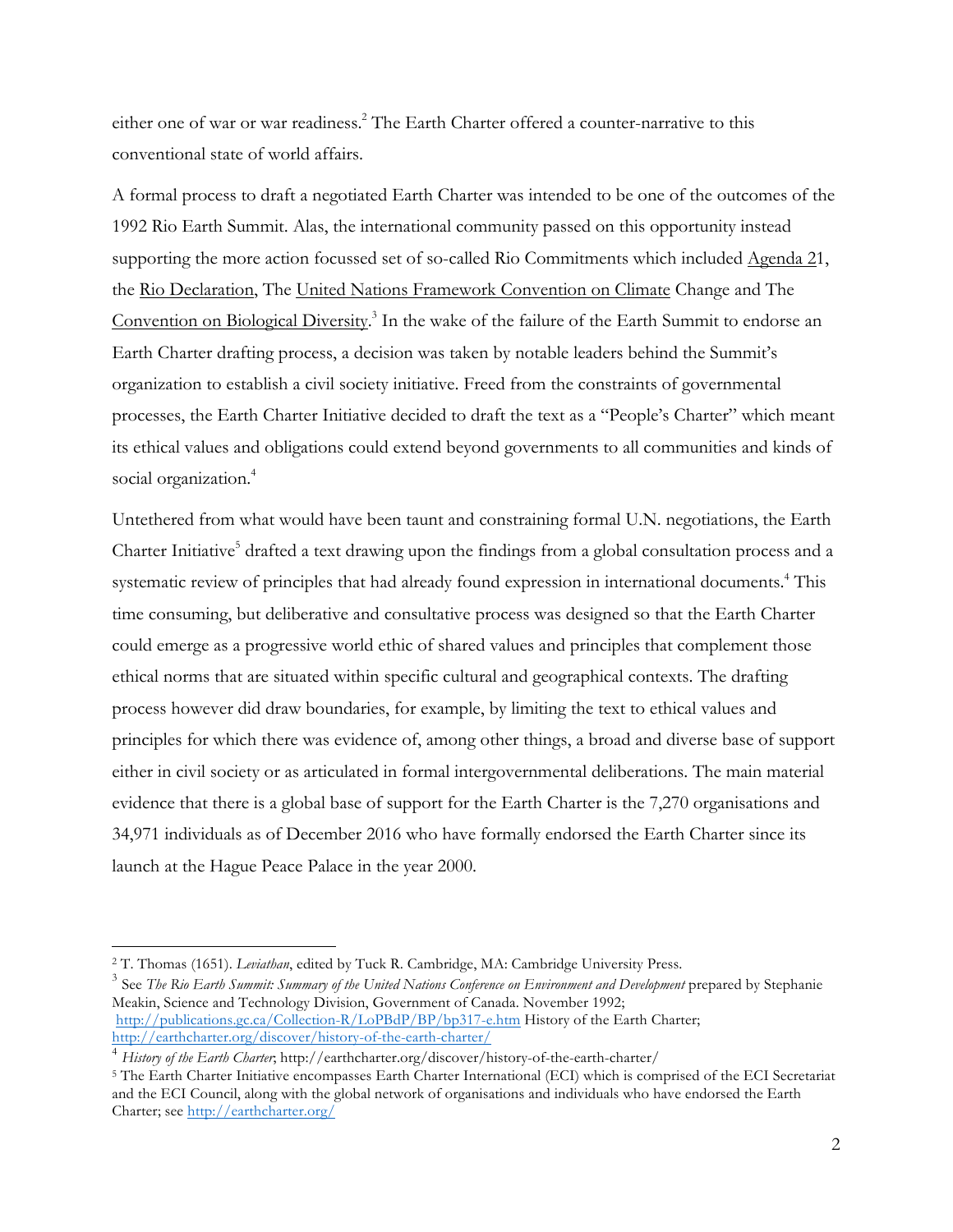either one of war or war readiness.<sup>2</sup> The Earth Charter offered a counter-narrative to this conventional state of world affairs.

A formal process to draft a negotiated Earth Charter was intended to be one of the outcomes of the 1992 Rio Earth Summit. Alas, the international community passed on this opportunity instead supporting the more action focussed set of so-called Rio Commitments which included Agenda 21, the Rio Declaration, The United Nations Framework Convention on Climate Change and The Convention on Biological Diversity.<sup>3</sup> In the wake of the failure of the Earth Summit to endorse an Earth Charter drafting process, a decision was taken by notable leaders behind the Summit's organization to establish a civil society initiative. Freed from the constraints of governmental processes, the Earth Charter Initiative decided to draft the text as a "People's Charter" which meant its ethical values and obligations could extend beyond governments to all communities and kinds of social organization. 4

Untethered from what would have been taunt and constraining formal U.N. negotiations, the Earth Charter Initiative<sup>5</sup> drafted a text drawing upon the findings from a global consultation process and a systematic review of principles that had already found expression in international documents.<sup>4</sup> This time consuming, but deliberative and consultative process was designed so that the Earth Charter could emerge as a progressive world ethic of shared values and principles that complement those ethical norms that are situated within specific cultural and geographical contexts. The drafting process however did draw boundaries, for example, by limiting the text to ethical values and principles for which there was evidence of, among other things, a broad and diverse base of support either in civil society or as articulated in formal intergovernmental deliberations. The main material evidence that there is a global base of support for the Earth Charter is the 7,270 organisations and 34,971 individuals as of December 2016 who have formally endorsed the Earth Charter since its launch at the Hague Peace Palace in the year 2000.

<sup>3</sup> See *The Rio Earth Summit: Summary of the United Nations Conference on Environment and Development prepared by Stephanie* Meakin, Science and Technology Division, Government of Canada. November 1992; http://publications.gc.ca/Collection-R/LoPBdP/BP/bp317-e.htm History of the Earth Charter; http://earthcharter.org/discover/history-of-the-earth-charter/

 <sup>2</sup> T. Thomas (1651). *Leviathan*, edited by Tuck R. Cambridge, MA: Cambridge University Press.

<sup>4</sup> *History of the Earth Charter*; http://earthcharter.org/discover/history-of-the-earth-charter/

<sup>5</sup> The Earth Charter Initiative encompasses Earth Charter International (ECI) which is comprised of the ECI Secretariat and the ECI Council, along with the global network of organisations and individuals who have endorsed the Earth Charter; see http://earthcharter.org/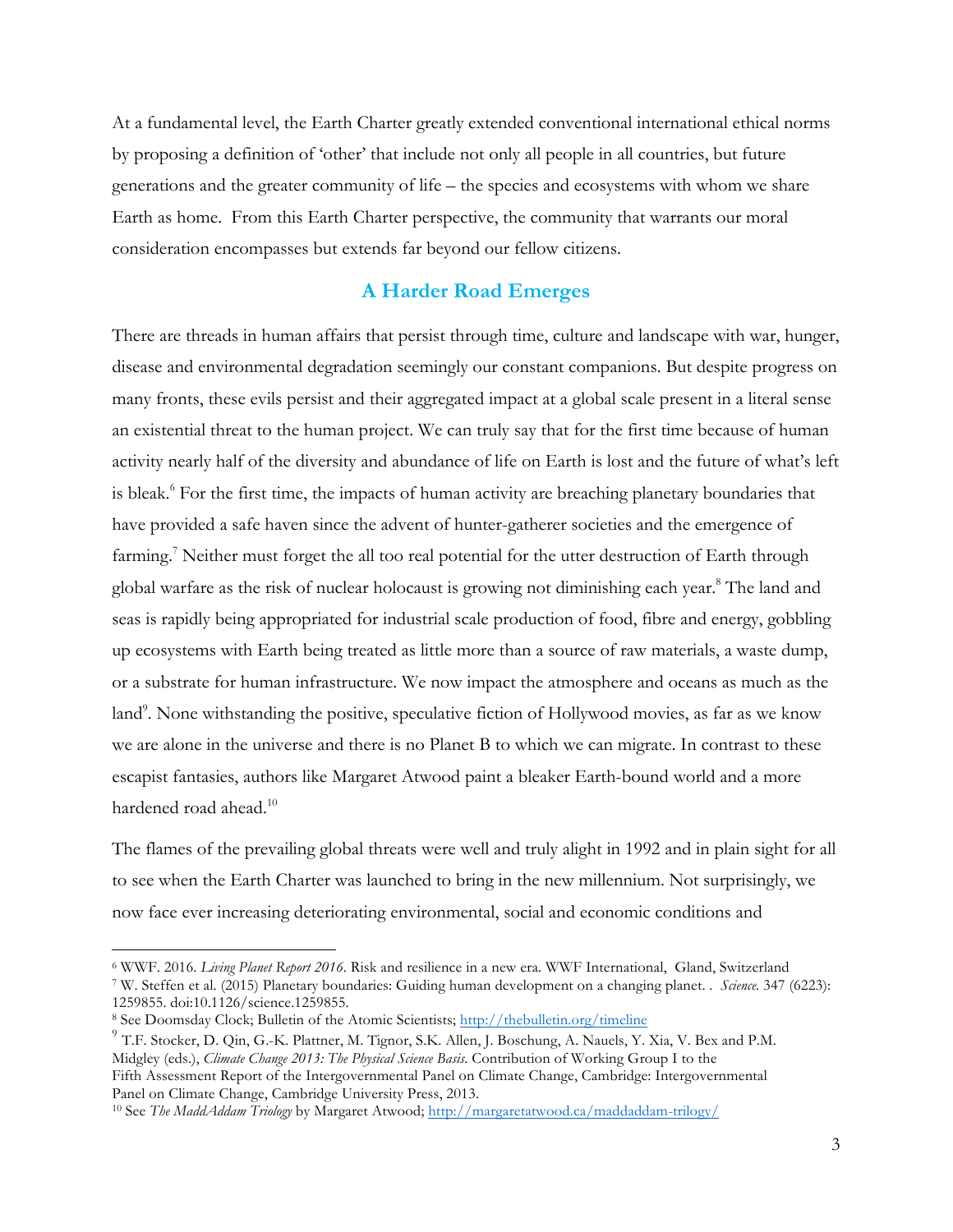At a fundamental level, the Earth Charter greatly extended conventional international ethical norms by proposing a definition of 'other' that include not only all people in all countries, but future generations and the greater community of life – the species and ecosystems with whom we share Earth as home. From this Earth Charter perspective, the community that warrants our moral consideration encompasses but extends far beyond our fellow citizens.

## **A Harder Road Emerges**

There are threads in human affairs that persist through time, culture and landscape with war, hunger, disease and environmental degradation seemingly our constant companions. But despite progress on many fronts, these evils persist and their aggregated impact at a global scale present in a literal sense an existential threat to the human project. We can truly say that for the first time because of human activity nearly half of the diversity and abundance of life on Earth is lost and the future of what's left is bleak.<sup>6</sup> For the first time, the impacts of human activity are breaching planetary boundaries that have provided a safe haven since the advent of hunter-gatherer societies and the emergence of farming.<sup>7</sup> Neither must forget the all too real potential for the utter destruction of Earth through global warfare as the risk of nuclear holocaust is growing not diminishing each year. <sup>8</sup> The land and seas is rapidly being appropriated for industrial scale production of food, fibre and energy, gobbling up ecosystems with Earth being treated as little more than a source of raw materials, a waste dump, or a substrate for human infrastructure. We now impact the atmosphere and oceans as much as the land<sup>9</sup>. None withstanding the positive, speculative fiction of Hollywood movies, as far as we know we are alone in the universe and there is no Planet B to which we can migrate. In contrast to these escapist fantasies, authors like Margaret Atwood paint a bleaker Earth-bound world and a more hardened road ahead.<sup>10</sup>

The flames of the prevailing global threats were well and truly alight in 1992 and in plain sight for all to see when the Earth Charter was launched to bring in the new millennium. Not surprisingly, we now face ever increasing deteriorating environmental, social and economic conditions and

<sup>7</sup> W. Steffen et al. (2015) Planetary boundaries: Guiding human development on a changing planet. . *Science.* 347 (6223): 1259855. doi:10.1126/science.1259855.

 <sup>6</sup> WWF. 2016. *Living Planet Report 2016*. Risk and resilience in a new era. WWF International, Gland, Switzerland

<sup>8</sup> See Doomsday Clock; Bulletin of the Atomic Scientists; http://thebulletin.org/timeline

<sup>9</sup> T.F. Stocker, D. Qin, G.-K. Plattner, M. Tignor, S.K. Allen, J. Boschung, A. Nauels, Y. Xia, V. Bex and P.M. Midgley (eds.), *Climate Change 2013: The Physical Science Basis*. Contribution of Working Group I to the Fifth Assessment Report of the Intergovernmental Panel on Climate Change, Cambridge: Intergovernmental Panel on Climate Change, Cambridge University Press, 2013.

<sup>10</sup> See *The MaddAddam Triology* by Margaret Atwood; http://margaretatwood.ca/maddaddam-trilogy/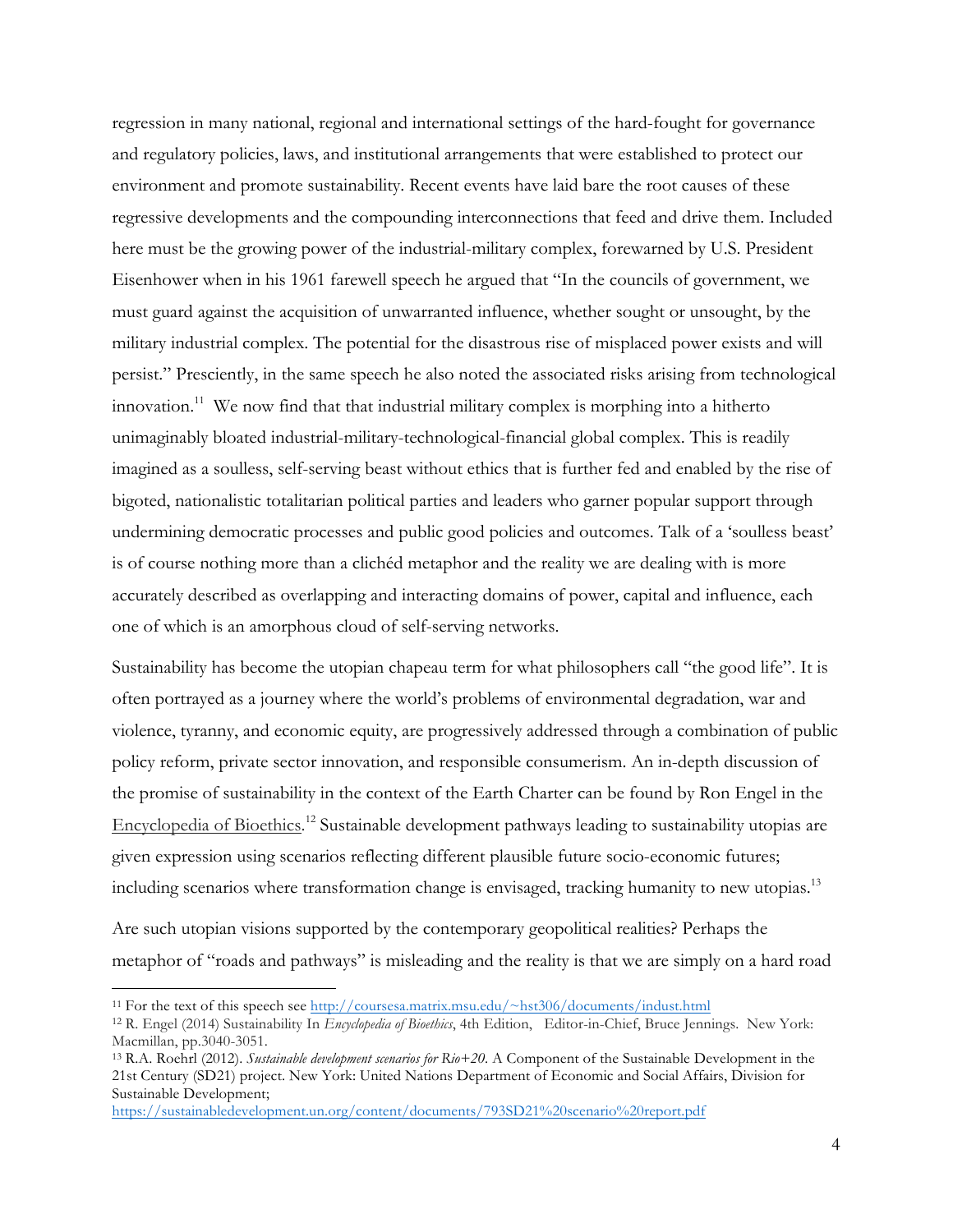regression in many national, regional and international settings of the hard-fought for governance and regulatory policies, laws, and institutional arrangements that were established to protect our environment and promote sustainability. Recent events have laid bare the root causes of these regressive developments and the compounding interconnections that feed and drive them. Included here must be the growing power of the industrial-military complex, forewarned by U.S. President Eisenhower when in his 1961 farewell speech he argued that "In the councils of government, we must guard against the acquisition of unwarranted influence, whether sought or unsought, by the military industrial complex. The potential for the disastrous rise of misplaced power exists and will persist." Presciently, in the same speech he also noted the associated risks arising from technological innovation.<sup>11</sup> We now find that that industrial military complex is morphing into a hitherto unimaginably bloated industrial-military-technological-financial global complex. This is readily imagined as a soulless, self-serving beast without ethics that is further fed and enabled by the rise of bigoted, nationalistic totalitarian political parties and leaders who garner popular support through undermining democratic processes and public good policies and outcomes. Talk of a 'soulless beast' is of course nothing more than a clichéd metaphor and the reality we are dealing with is more accurately described as overlapping and interacting domains of power, capital and influence, each one of which is an amorphous cloud of self-serving networks.

Sustainability has become the utopian chapeau term for what philosophers call "the good life". It is often portrayed as a journey where the world's problems of environmental degradation, war and violence, tyranny, and economic equity, are progressively addressed through a combination of public policy reform, private sector innovation, and responsible consumerism. An in-depth discussion of the promise of sustainability in the context of the Earth Charter can be found by Ron Engel in the Encyclopedia of Bioethics.<sup>12</sup> Sustainable development pathways leading to sustainability utopias are given expression using scenarios reflecting different plausible future socio-economic futures; including scenarios where transformation change is envisaged, tracking humanity to new utopias.<sup>13</sup>

Are such utopian visions supported by the contemporary geopolitical realities? Perhaps the metaphor of "roads and pathways" is misleading and the reality is that we are simply on a hard road

 <sup>11</sup> For the text of this speech see http://coursesa.matrix.msu.edu/~hst306/documents/indust.html

<sup>12</sup> R. Engel (2014) Sustainability In *Encyclopedia of Bioethics*, 4th Edition, Editor-in-Chief, Bruce Jennings. New York: Macmillan, pp.3040-3051.

<sup>13</sup> R.A. Roehrl (2012). *Sustainable development scenarios for Rio+20*. A Component of the Sustainable Development in the 21st Century (SD21) project. New York: United Nations Department of Economic and Social Affairs, Division for Sustainable Development;

https://sustainabledevelopment.un.org/content/documents/793SD21%20scenario%20report.pdf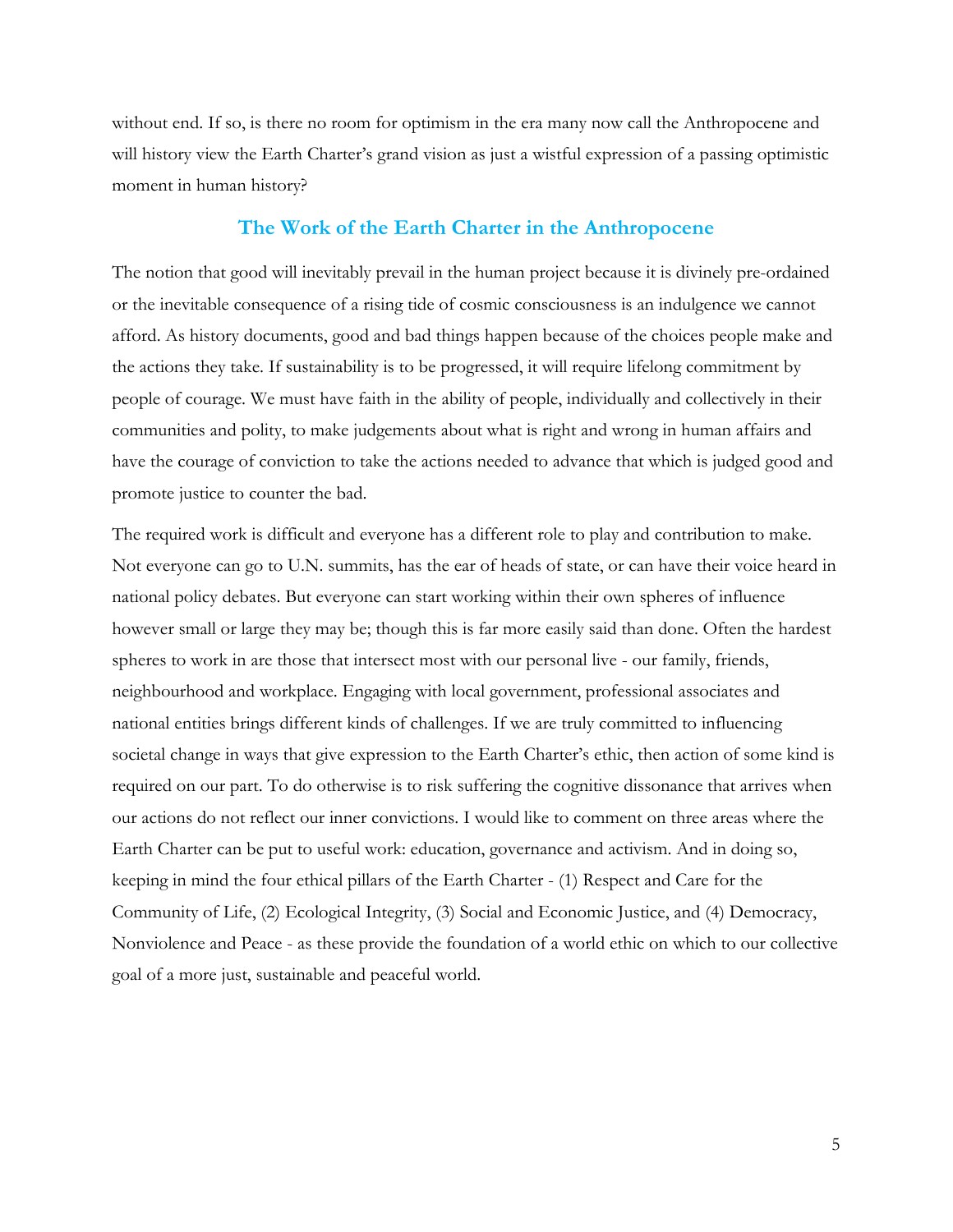without end. If so, is there no room for optimism in the era many now call the Anthropocene and will history view the Earth Charter's grand vision as just a wistful expression of a passing optimistic moment in human history?

#### **The Work of the Earth Charter in the Anthropocene**

The notion that good will inevitably prevail in the human project because it is divinely pre-ordained or the inevitable consequence of a rising tide of cosmic consciousness is an indulgence we cannot afford. As history documents, good and bad things happen because of the choices people make and the actions they take. If sustainability is to be progressed, it will require lifelong commitment by people of courage. We must have faith in the ability of people, individually and collectively in their communities and polity, to make judgements about what is right and wrong in human affairs and have the courage of conviction to take the actions needed to advance that which is judged good and promote justice to counter the bad.

The required work is difficult and everyone has a different role to play and contribution to make. Not everyone can go to U.N. summits, has the ear of heads of state, or can have their voice heard in national policy debates. But everyone can start working within their own spheres of influence however small or large they may be; though this is far more easily said than done. Often the hardest spheres to work in are those that intersect most with our personal live - our family, friends, neighbourhood and workplace. Engaging with local government, professional associates and national entities brings different kinds of challenges. If we are truly committed to influencing societal change in ways that give expression to the Earth Charter's ethic, then action of some kind is required on our part. To do otherwise is to risk suffering the cognitive dissonance that arrives when our actions do not reflect our inner convictions. I would like to comment on three areas where the Earth Charter can be put to useful work: education, governance and activism. And in doing so, keeping in mind the four ethical pillars of the Earth Charter - (1) Respect and Care for the Community of Life, (2) Ecological Integrity, (3) Social and Economic Justice, and (4) Democracy, Nonviolence and Peace - as these provide the foundation of a world ethic on which to our collective goal of a more just, sustainable and peaceful world.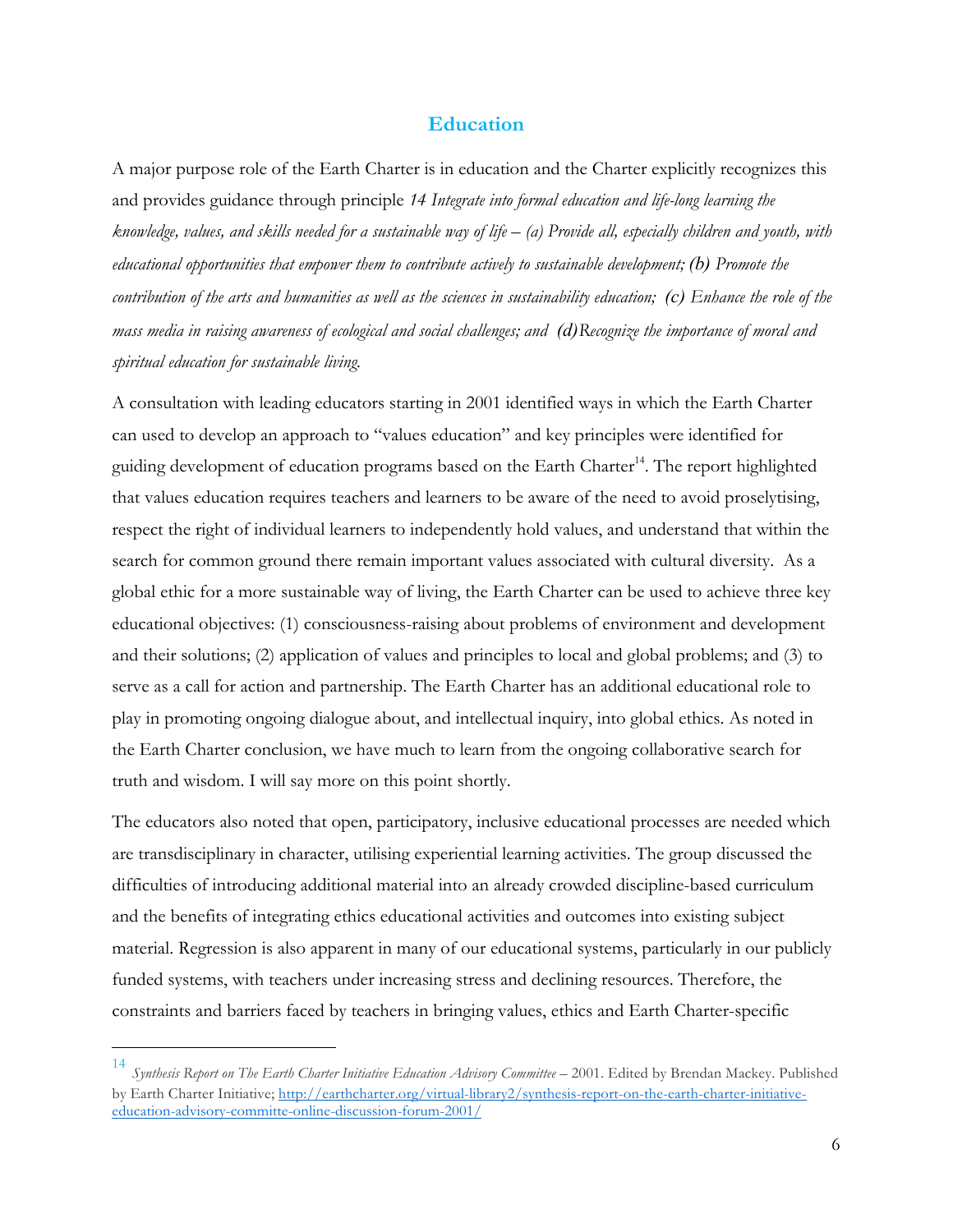#### **Education**

A major purpose role of the Earth Charter is in education and the Charter explicitly recognizes this and provides guidance through principle *14 Integrate into formal education and life-long learning the knowledge, values, and skills needed for a sustainable way of life – (a) Provide all, especially children and youth, with educational opportunities that empower them to contribute actively to sustainable development; (b) Promote the contribution of the arts and humanities as well as the sciences in sustainability education; (c) Enhance the role of the mass media in raising awareness of ecological and social challenges; and (d)Recognize the importance of moral and spiritual education for sustainable living.*

A consultation with leading educators starting in 2001 identified ways in which the Earth Charter can used to develop an approach to "values education" and key principles were identified for guiding development of education programs based on the Earth Charter<sup>14</sup>. The report highlighted that values education requires teachers and learners to be aware of the need to avoid proselytising, respect the right of individual learners to independently hold values, and understand that within the search for common ground there remain important values associated with cultural diversity. As a global ethic for a more sustainable way of living, the Earth Charter can be used to achieve three key educational objectives: (1) consciousness-raising about problems of environment and development and their solutions; (2) application of values and principles to local and global problems; and (3) to serve as a call for action and partnership. The Earth Charter has an additional educational role to play in promoting ongoing dialogue about, and intellectual inquiry, into global ethics. As noted in the Earth Charter conclusion, we have much to learn from the ongoing collaborative search for truth and wisdom. I will say more on this point shortly.

The educators also noted that open, participatory, inclusive educational processes are needed which are transdisciplinary in character, utilising experiential learning activities. The group discussed the difficulties of introducing additional material into an already crowded discipline-based curriculum and the benefits of integrating ethics educational activities and outcomes into existing subject material. Regression is also apparent in many of our educational systems, particularly in our publicly funded systems, with teachers under increasing stress and declining resources. Therefore, the constraints and barriers faced by teachers in bringing values, ethics and Earth Charter-specific

 <sup>14</sup> *Synthesis Report on The Earth Charter Initiative Education Advisory Committee* – 2001. Edited by Brendan Mackey. Published by Earth Charter Initiative; http://earthcharter.org/virtual-library2/synthesis-report-on-the-earth-charter-initiativeeducation-advisory-committe-online-discussion-forum-2001/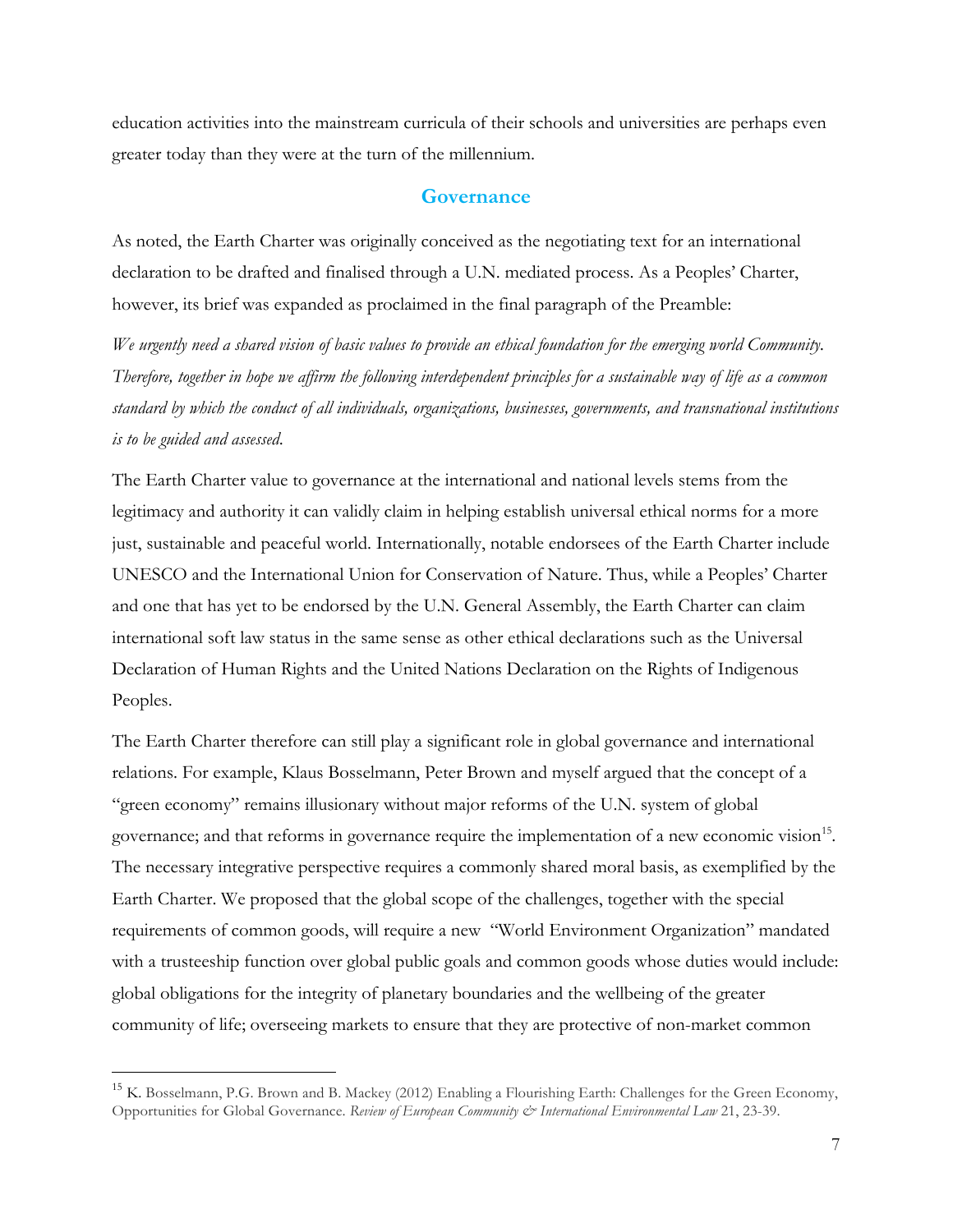education activities into the mainstream curricula of their schools and universities are perhaps even greater today than they were at the turn of the millennium.

#### **Governance**

As noted, the Earth Charter was originally conceived as the negotiating text for an international declaration to be drafted and finalised through a U.N. mediated process. As a Peoples' Charter, however, its brief was expanded as proclaimed in the final paragraph of the Preamble:

*We urgently need a shared vision of basic values to provide an ethical foundation for the emerging world Community. Therefore, together in hope we affirm the following interdependent principles for a sustainable way of life as a common standard by which the conduct of all individuals, organizations, businesses, governments, and transnational institutions is to be guided and assessed*.

The Earth Charter value to governance at the international and national levels stems from the legitimacy and authority it can validly claim in helping establish universal ethical norms for a more just, sustainable and peaceful world. Internationally, notable endorsees of the Earth Charter include UNESCO and the International Union for Conservation of Nature. Thus, while a Peoples' Charter and one that has yet to be endorsed by the U.N. General Assembly, the Earth Charter can claim international soft law status in the same sense as other ethical declarations such as the Universal Declaration of Human Rights and the United Nations Declaration on the Rights of Indigenous Peoples.

The Earth Charter therefore can still play a significant role in global governance and international relations. For example, Klaus Bosselmann, Peter Brown and myself argued that the concept of a "green economy" remains illusionary without major reforms of the U.N. system of global governance; and that reforms in governance require the implementation of a new economic vision15. The necessary integrative perspective requires a commonly shared moral basis, as exemplified by the Earth Charter. We proposed that the global scope of the challenges, together with the special requirements of common goods, will require a new "World Environment Organization" mandated with a trusteeship function over global public goals and common goods whose duties would include: global obligations for the integrity of planetary boundaries and the wellbeing of the greater community of life; overseeing markets to ensure that they are protective of non-market common

<sup>&</sup>lt;sup>15</sup> K. Bosselmann, P.G. Brown and B. Mackey (2012) Enabling a Flourishing Earth: Challenges for the Green Economy, Opportunities for Global Governance. *Review of European Community & International Environmental Law* 21, 23-39.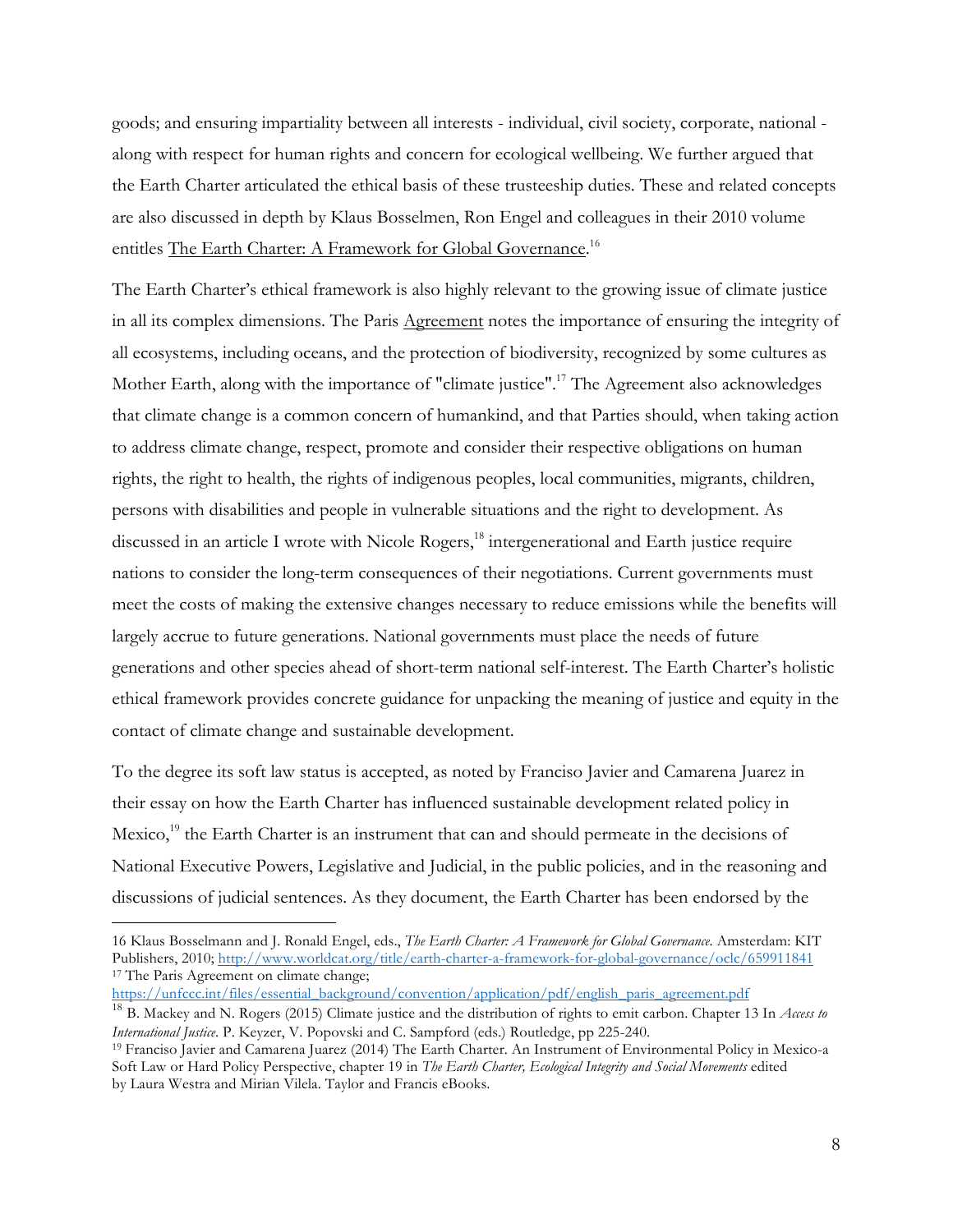goods; and ensuring impartiality between all interests - individual, civil society, corporate, national along with respect for human rights and concern for ecological wellbeing. We further argued that the Earth Charter articulated the ethical basis of these trusteeship duties. These and related concepts are also discussed in depth by Klaus Bosselmen, Ron Engel and colleagues in their 2010 volume entitles The Earth Charter: A Framework for Global Governance.<sup>16</sup>

The Earth Charter's ethical framework is also highly relevant to the growing issue of climate justice in all its complex dimensions. The Paris Agreement notes the importance of ensuring the integrity of all ecosystems, including oceans, and the protection of biodiversity, recognized by some cultures as Mother Earth, along with the importance of "climate justice".<sup>17</sup> The Agreement also acknowledges that climate change is a common concern of humankind, and that Parties should, when taking action to address climate change, respect, promote and consider their respective obligations on human rights, the right to health, the rights of indigenous peoples, local communities, migrants, children, persons with disabilities and people in vulnerable situations and the right to development. As discussed in an article I wrote with Nicole Rogers, <sup>18</sup> intergenerational and Earth justice require nations to consider the long-term consequences of their negotiations. Current governments must meet the costs of making the extensive changes necessary to reduce emissions while the benefits will largely accrue to future generations. National governments must place the needs of future generations and other species ahead of short-term national self-interest. The Earth Charter's holistic ethical framework provides concrete guidance for unpacking the meaning of justice and equity in the contact of climate change and sustainable development.

To the degree its soft law status is accepted, as noted by Franciso Javier and Camarena Juarez in their essay on how the Earth Charter has influenced sustainable development related policy in Mexico, $^{19}$  the Earth Charter is an instrument that can and should permeate in the decisions of National Executive Powers, Legislative and Judicial, in the public policies, and in the reasoning and discussions of judicial sentences. As they document, the Earth Charter has been endorsed by the

https://unfccc.int/files/essential\_background/convention/application/pdf/english\_paris\_agreement.pdf

 <sup>16</sup> Klaus Bosselmann and J. Ronald Engel, eds., *The Earth Charter: A Framework for Global Governance*. Amsterdam: KIT Publishers, 2010; http://www.worldcat.org/title/earth-charter-a-framework-for-global-governance/oclc/659911841 <sup>17</sup> The Paris Agreement on climate change;

<sup>18</sup> B. Mackey and N. Rogers (2015) Climate justice and the distribution of rights to emit carbon. Chapter 13 In *Access to International Justice*. P. Keyzer, V. Popovski and C. Sampford (eds.) Routledge, pp 225-240. 19 Franciso Javier and Camarena Juarez (2014) The Earth Charter. An Instrument of Environmental Policy in Mexico-a

Soft Law or Hard Policy Perspective, chapter 19 in *The Earth Charter, Ecological Integrity and Social Movements* edited by Laura Westra and Mirian Vilela. Taylor and Francis eBooks.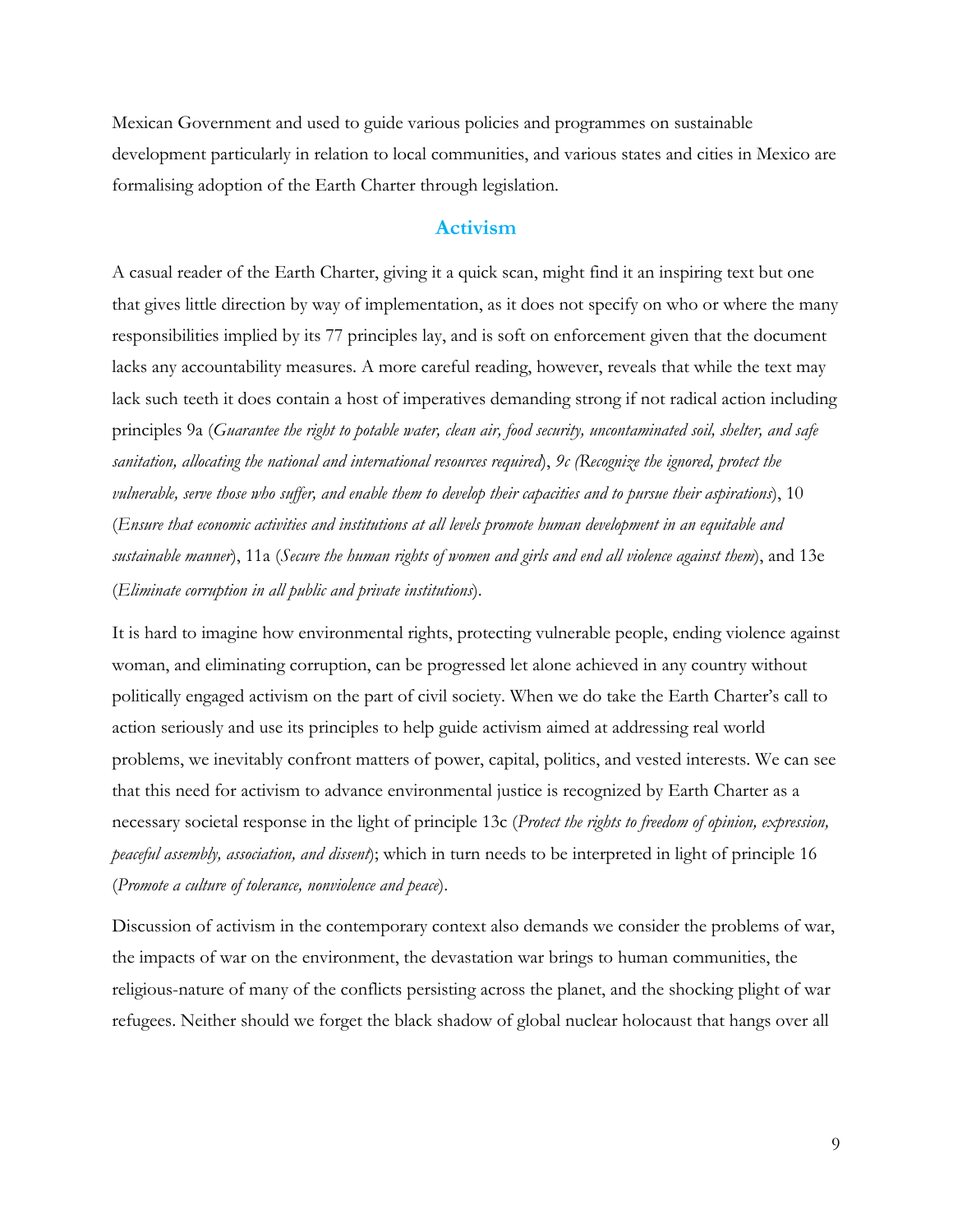Mexican Government and used to guide various policies and programmes on sustainable development particularly in relation to local communities, and various states and cities in Mexico are formalising adoption of the Earth Charter through legislation.

#### **Activism**

A casual reader of the Earth Charter, giving it a quick scan, might find it an inspiring text but one that gives little direction by way of implementation, as it does not specify on who or where the many responsibilities implied by its 77 principles lay, and is soft on enforcement given that the document lacks any accountability measures. A more careful reading, however, reveals that while the text may lack such teeth it does contain a host of imperatives demanding strong if not radical action including principles 9a (*Guarantee the right to potable water, clean air, food security, uncontaminated soil, shelter, and safe sanitation, allocating the national and international resources required*), *9c (Recognize the ignored, protect the vulnerable, serve those who suffer, and enable them to develop their capacities and to pursue their aspirations*), 10 (*Ensure that economic activities and institutions at all levels promote human development in an equitable and sustainable manner*), 11a (*Secure the human rights of women and girls and end all violence against them*), and 13e (*Eliminate corruption in all public and private institutions*).

It is hard to imagine how environmental rights, protecting vulnerable people, ending violence against woman, and eliminating corruption, can be progressed let alone achieved in any country without politically engaged activism on the part of civil society. When we do take the Earth Charter's call to action seriously and use its principles to help guide activism aimed at addressing real world problems, we inevitably confront matters of power, capital, politics, and vested interests. We can see that this need for activism to advance environmental justice is recognized by Earth Charter as a necessary societal response in the light of principle 13c (*Protect the rights to freedom of opinion, expression, peaceful assembly, association, and dissent*); which in turn needs to be interpreted in light of principle 16 (*Promote a culture of tolerance, nonviolence and peace*).

Discussion of activism in the contemporary context also demands we consider the problems of war, the impacts of war on the environment, the devastation war brings to human communities, the religious-nature of many of the conflicts persisting across the planet, and the shocking plight of war refugees. Neither should we forget the black shadow of global nuclear holocaust that hangs over all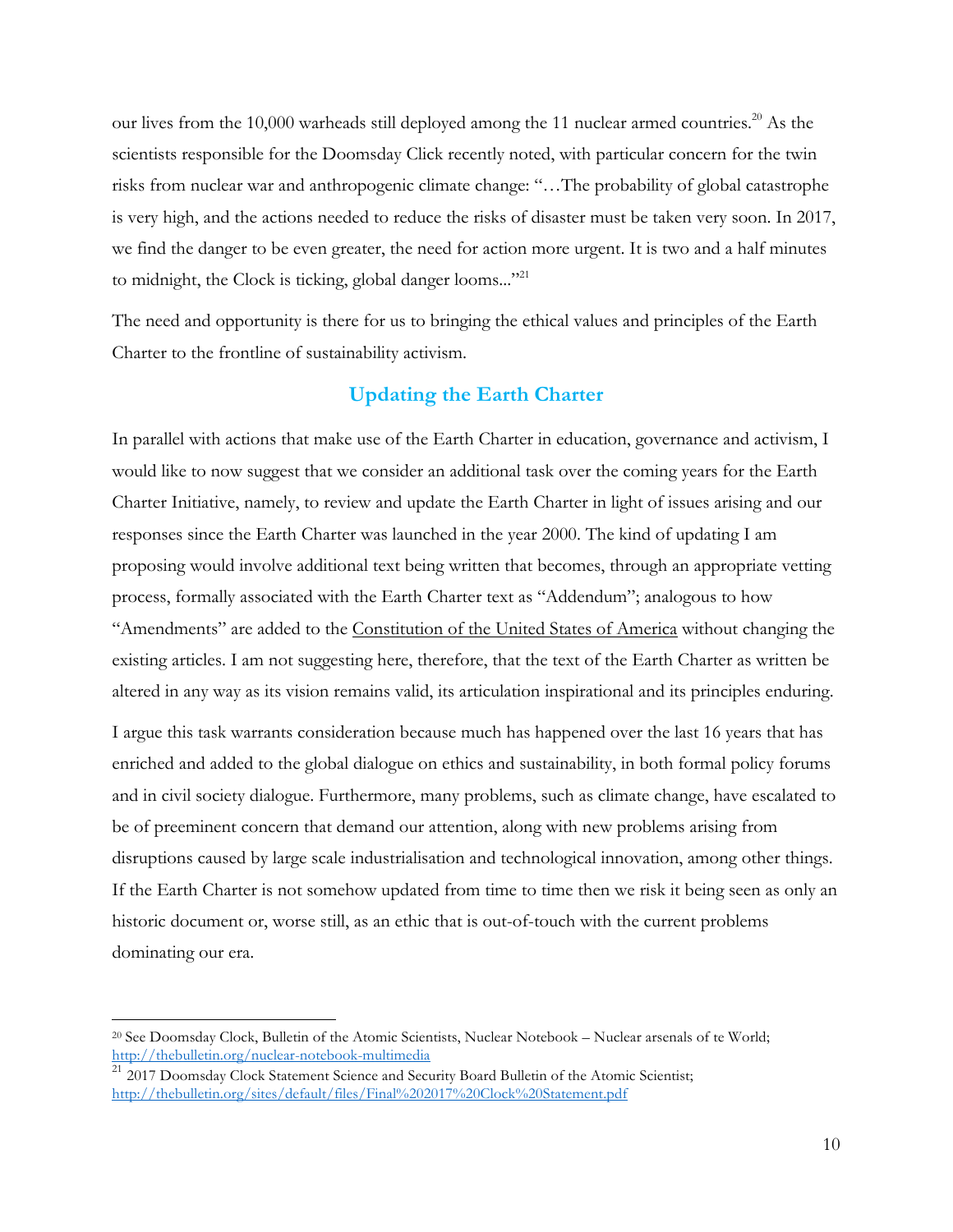our lives from the 10,000 warheads still deployed among the 11 nuclear armed countries.<sup>20</sup> As the scientists responsible for the Doomsday Click recently noted, with particular concern for the twin risks from nuclear war and anthropogenic climate change: "…The probability of global catastrophe is very high, and the actions needed to reduce the risks of disaster must be taken very soon. In 2017, we find the danger to be even greater, the need for action more urgent. It is two and a half minutes to midnight, the Clock is ticking, global danger looms..."<sup>21</sup>

The need and opportunity is there for us to bringing the ethical values and principles of the Earth Charter to the frontline of sustainability activism.

## **Updating the Earth Charter**

In parallel with actions that make use of the Earth Charter in education, governance and activism, I would like to now suggest that we consider an additional task over the coming years for the Earth Charter Initiative, namely, to review and update the Earth Charter in light of issues arising and our responses since the Earth Charter was launched in the year 2000. The kind of updating I am proposing would involve additional text being written that becomes, through an appropriate vetting process, formally associated with the Earth Charter text as "Addendum"; analogous to how "Amendments" are added to the Constitution of the United States of America without changing the existing articles. I am not suggesting here, therefore, that the text of the Earth Charter as written be altered in any way as its vision remains valid, its articulation inspirational and its principles enduring.

I argue this task warrants consideration because much has happened over the last 16 years that has enriched and added to the global dialogue on ethics and sustainability, in both formal policy forums and in civil society dialogue. Furthermore, many problems, such as climate change, have escalated to be of preeminent concern that demand our attention, along with new problems arising from disruptions caused by large scale industrialisation and technological innovation, among other things. If the Earth Charter is not somehow updated from time to time then we risk it being seen as only an historic document or, worse still, as an ethic that is out-of-touch with the current problems dominating our era.

<sup>&</sup>lt;sup>20</sup> See Doomsday Clock, Bulletin of the Atomic Scientists, Nuclear Notebook – Nuclear arsenals of te World; http://thebulletin.org/nuclear-notebook-multimedia

 $21$  2017 Doomsday Clock Statement Science and Security Board Bulletin of the Atomic Scientist; http://thebulletin.org/sites/default/files/Final%202017%20Clock%20Statement.pdf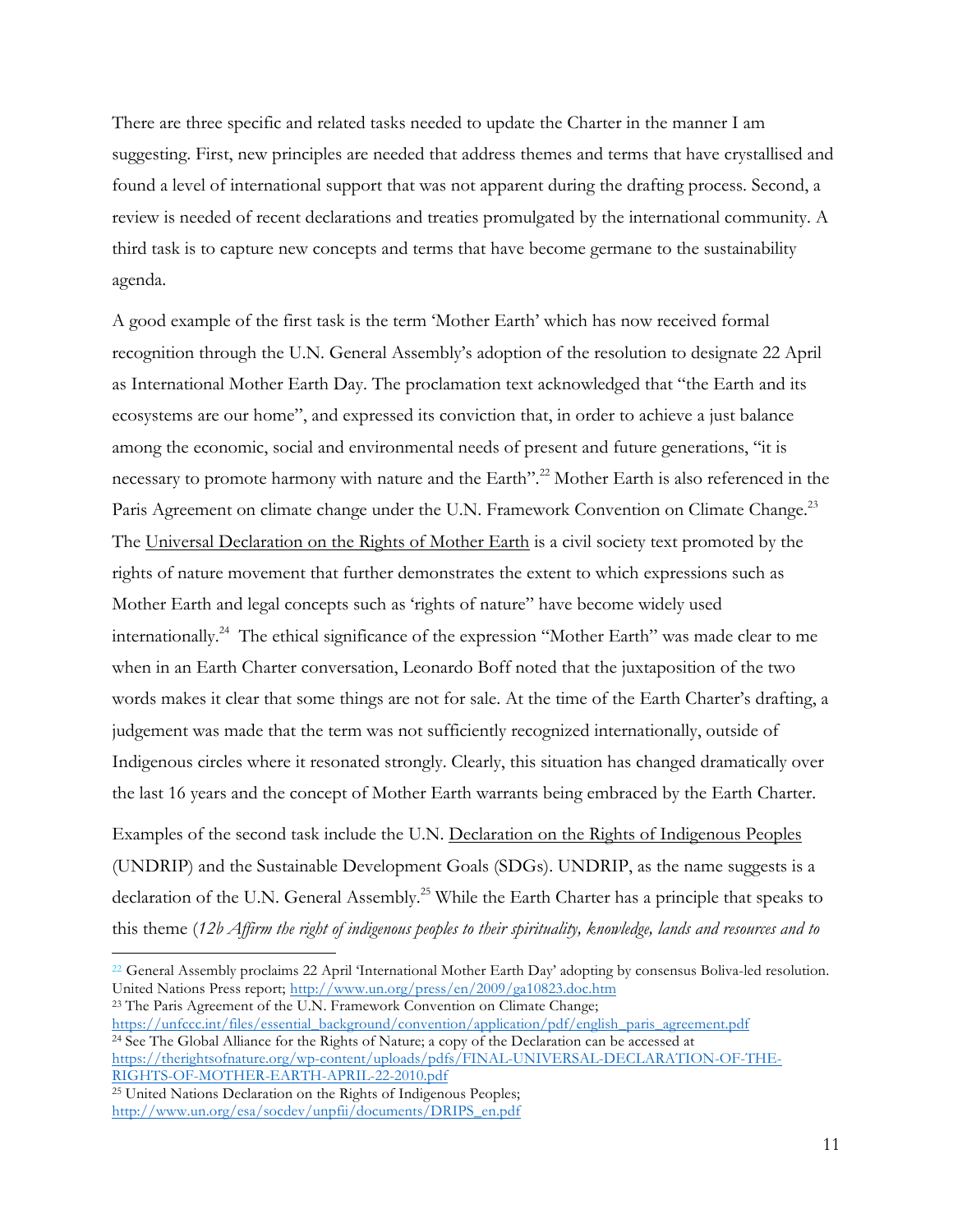There are three specific and related tasks needed to update the Charter in the manner I am suggesting. First, new principles are needed that address themes and terms that have crystallised and found a level of international support that was not apparent during the drafting process. Second, a review is needed of recent declarations and treaties promulgated by the international community. A third task is to capture new concepts and terms that have become germane to the sustainability agenda.

A good example of the first task is the term 'Mother Earth' which has now received formal recognition through the U.N. General Assembly's adoption of the resolution to designate 22 April as International Mother Earth Day. The proclamation text acknowledged that "the Earth and its ecosystems are our home", and expressed its conviction that, in order to achieve a just balance among the economic, social and environmental needs of present and future generations, "it is necessary to promote harmony with nature and the Earth".<sup>22</sup> Mother Earth is also referenced in the Paris Agreement on climate change under the U.N. Framework Convention on Climate Change.<sup>23</sup> The Universal Declaration on the Rights of Mother Earth is a civil society text promoted by the rights of nature movement that further demonstrates the extent to which expressions such as Mother Earth and legal concepts such as 'rights of nature" have become widely used internationally. <sup>24</sup> The ethical significance of the expression "Mother Earth" was made clear to me when in an Earth Charter conversation, Leonardo Boff noted that the juxtaposition of the two words makes it clear that some things are not for sale. At the time of the Earth Charter's drafting, a judgement was made that the term was not sufficiently recognized internationally, outside of Indigenous circles where it resonated strongly. Clearly, this situation has changed dramatically over the last 16 years and the concept of Mother Earth warrants being embraced by the Earth Charter.

Examples of the second task include the U.N. Declaration on the Rights of Indigenous Peoples (UNDRIP) and the Sustainable Development Goals (SDGs). UNDRIP, as the name suggests is a declaration of the U.N. General Assembly.<sup>25</sup> While the Earth Charter has a principle that speaks to this theme (*12b Affirm the right of indigenous peoples to their spirituality, knowledge, lands and resources and to* 

https://unfccc.int/files/essential\_background/convention/application/pdf/english\_paris\_agreement.pdf <sup>24</sup> See The Global Alliance for the Rights of Nature; a copy of the Declaration can be accessed at https://therightsofnature.org/wp-content/uploads/pdfs/FINAL-UNIVERSAL-DECLARATION-OF-THE-RIGHTS-OF-MOTHER-EARTH-APRIL-22-2010.pdf

 $^{22}$  General Assembly proclaims 22 April 'International Mother Earth Day' adopting by consensus Boliva-led resolution. United Nations Press report; http://www.un.org/press/en/2009/ga10823.doc.htm <sup>23</sup> The Paris Agreement of the U.N. Framework Convention on Climate Change;

<sup>25</sup> United Nations Declaration on the Rights of Indigenous Peoples; http://www.un.org/esa/socdev/unpfii/documents/DRIPS\_en.pdf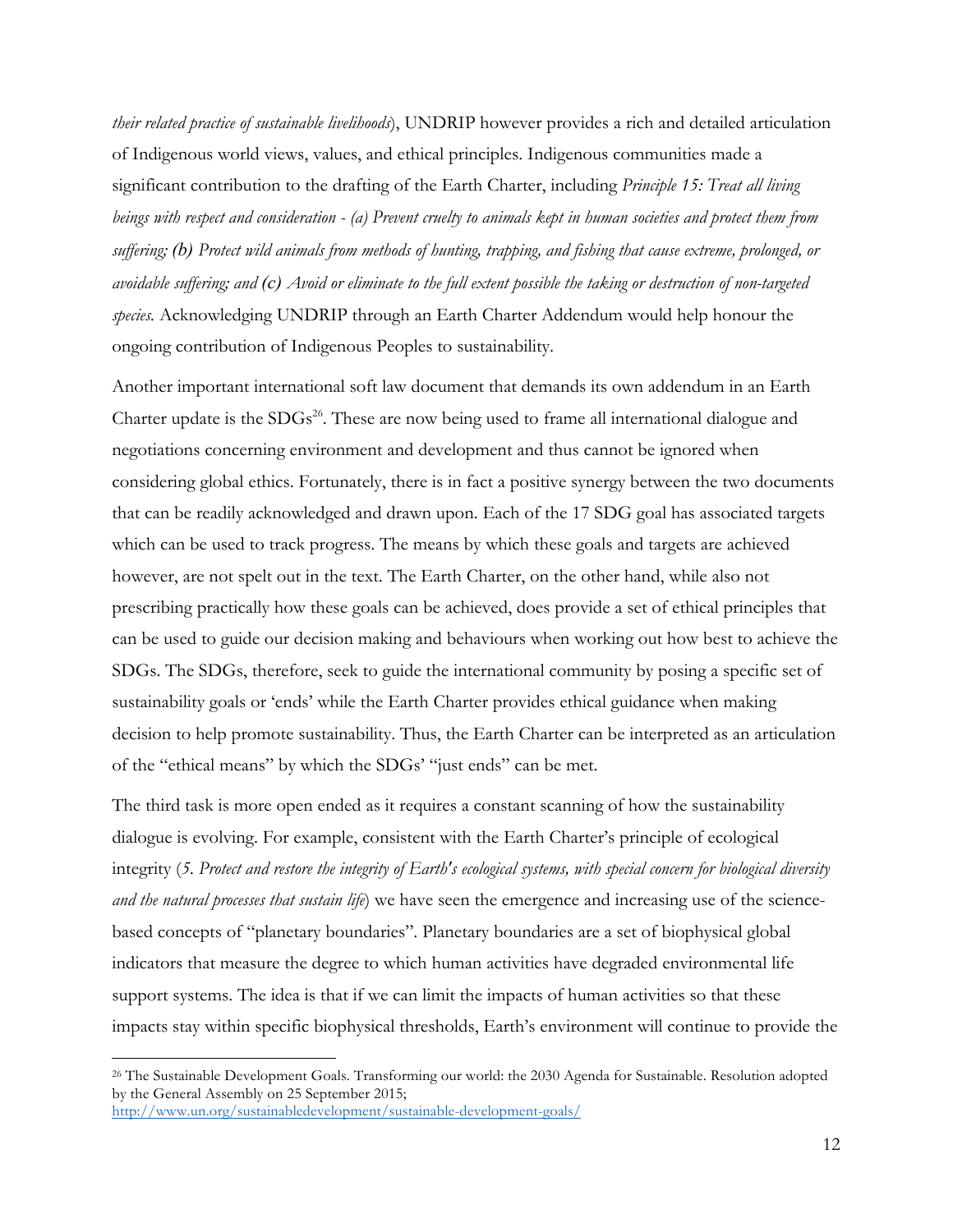*their related practice of sustainable livelihoods*), UNDRIP however provides a rich and detailed articulation of Indigenous world views, values, and ethical principles. Indigenous communities made a significant contribution to the drafting of the Earth Charter, including *Principle 15: Treat all living beings with respect and consideration - (a) Prevent cruelty to animals kept in human societies and protect them from suffering; (b) Protect wild animals from methods of hunting, trapping, and fishing that cause extreme, prolonged, or avoidable suffering; and (c) Avoid or eliminate to the full extent possible the taking or destruction of non-targeted species.* Acknowledging UNDRIP through an Earth Charter Addendum would help honour the ongoing contribution of Indigenous Peoples to sustainability.

Another important international soft law document that demands its own addendum in an Earth Charter update is the SDGs<sup>26</sup>. These are now being used to frame all international dialogue and negotiations concerning environment and development and thus cannot be ignored when considering global ethics. Fortunately, there is in fact a positive synergy between the two documents that can be readily acknowledged and drawn upon. Each of the 17 SDG goal has associated targets which can be used to track progress. The means by which these goals and targets are achieved however, are not spelt out in the text. The Earth Charter, on the other hand, while also not prescribing practically how these goals can be achieved, does provide a set of ethical principles that can be used to guide our decision making and behaviours when working out how best to achieve the SDGs. The SDGs, therefore, seek to guide the international community by posing a specific set of sustainability goals or 'ends' while the Earth Charter provides ethical guidance when making decision to help promote sustainability. Thus, the Earth Charter can be interpreted as an articulation of the "ethical means" by which the SDGs' "just ends" can be met.

The third task is more open ended as it requires a constant scanning of how the sustainability dialogue is evolving. For example, consistent with the Earth Charter's principle of ecological integrity (*5. Protect and restore the integrity of Earth's ecological systems, with special concern for biological diversity and the natural processes that sustain life*) we have seen the emergence and increasing use of the sciencebased concepts of "planetary boundaries". Planetary boundaries are a set of biophysical global indicators that measure the degree to which human activities have degraded environmental life support systems. The idea is that if we can limit the impacts of human activities so that these impacts stay within specific biophysical thresholds, Earth's environment will continue to provide the

 <sup>26</sup> The Sustainable Development Goals. Transforming our world: the 2030 Agenda for Sustainable. Resolution adopted by the General Assembly on 25 September 2015; http://www.un.org/sustainabledevelopment/sustainable-development-goals/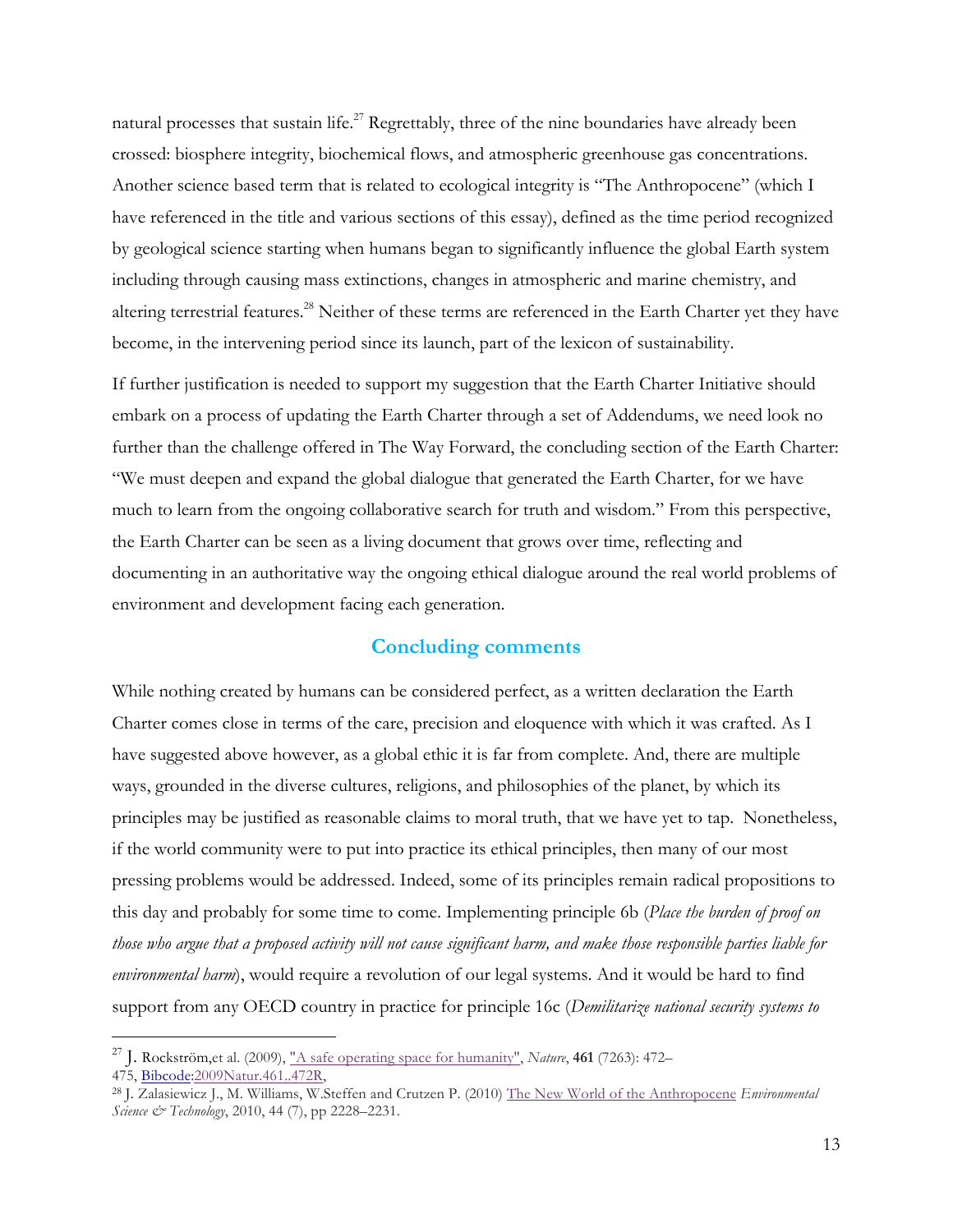natural processes that sustain life.<sup>27</sup> Regrettably, three of the nine boundaries have already been crossed: biosphere integrity, biochemical flows, and atmospheric greenhouse gas concentrations. Another science based term that is related to ecological integrity is "The Anthropocene" (which I have referenced in the title and various sections of this essay), defined as the time period recognized by geological science starting when humans began to significantly influence the global Earth system including through causing mass extinctions, changes in atmospheric and marine chemistry, and altering terrestrial features.<sup>28</sup> Neither of these terms are referenced in the Earth Charter yet they have become, in the intervening period since its launch, part of the lexicon of sustainability.

If further justification is needed to support my suggestion that the Earth Charter Initiative should embark on a process of updating the Earth Charter through a set of Addendums, we need look no further than the challenge offered in The Way Forward, the concluding section of the Earth Charter: "We must deepen and expand the global dialogue that generated the Earth Charter, for we have much to learn from the ongoing collaborative search for truth and wisdom." From this perspective, the Earth Charter can be seen as a living document that grows over time, reflecting and documenting in an authoritative way the ongoing ethical dialogue around the real world problems of environment and development facing each generation.

#### **Concluding comments**

While nothing created by humans can be considered perfect, as a written declaration the Earth Charter comes close in terms of the care, precision and eloquence with which it was crafted. As I have suggested above however, as a global ethic it is far from complete. And, there are multiple ways, grounded in the diverse cultures, religions, and philosophies of the planet, by which its principles may be justified as reasonable claims to moral truth, that we have yet to tap. Nonetheless, if the world community were to put into practice its ethical principles, then many of our most pressing problems would be addressed. Indeed, some of its principles remain radical propositions to this day and probably for some time to come. Implementing principle 6b (*Place the burden of proof on those who argue that a proposed activity will not cause significant harm, and make those responsible parties liable for environmental harm*), would require a revolution of our legal systems. And it would be hard to find support from any OECD country in practice for principle 16c (*Demilitarize national security systems to* 

 <sup>27</sup> J. Rockström,et al. (2009), "A safe operating space for humanity", *Nature*, **<sup>461</sup>** (7263): 472–

<sup>475,</sup> Bibcode:2009Natur.461..472R,

<sup>28</sup> J. Zalasiewicz J., M. Williams, W.Steffen and Crutzen P. (2010) The New World of the Anthropocene *Environmental Science & Technology*, 2010, 44 (7), pp 2228–2231.